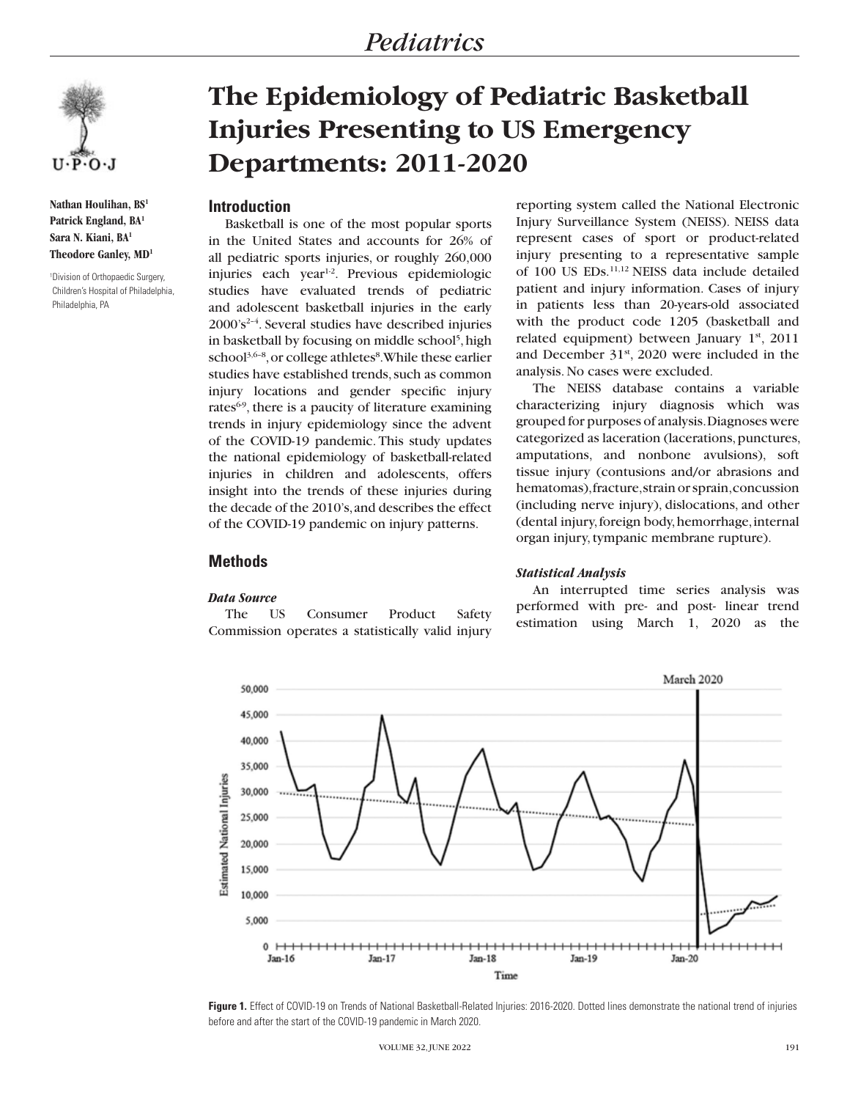

**Nathan Houlihan, BS1 Patrick England, BA1 Sara N. Kiani, BA1 Theodore Ganley, MD1**

1 Division of Orthopaedic Surgery, Children's Hospital of Philadelphia, Philadelphia, PA

# **The Epidemiology of Pediatric Basketball Injuries Presenting to US Emergency Departments: 2011-2020**

# **Introduction**

Basketball is one of the most popular sports in the United States and accounts for 26% of all pediatric sports injuries, or roughly 260,000 injuries each year<sup>1-2</sup>. Previous epidemiologic studies have evaluated trends of pediatric and adolescent basketball injuries in the early  $2000's<sup>2-4</sup>$ . Several studies have described injuries in basketball by focusing on middle school<sup>5</sup>, high school<sup>3,6-8</sup>, or college athletes<sup>8</sup>. While these earlier studies have established trends, such as common injury locations and gender specific injury rates $69$ , there is a paucity of literature examining trends in injury epidemiology since the advent of the COVID-19 pandemic. This study updates the national epidemiology of basketball-related injuries in children and adolescents, offers insight into the trends of these injuries during the decade of the 2010's, and describes the effect of the COVID-19 pandemic on injury patterns.

reporting system called the National Electronic Injury Surveillance System (NEISS). NEISS data represent cases of sport or product-related injury presenting to a representative sample of 100 US EDs.11,12 NEISS data include detailed patient and injury information. Cases of injury in patients less than 20-years-old associated with the product code 1205 (basketball and related equipment) between January  $1<sup>st</sup>$ , 2011 and December  $31<sup>st</sup>$ , 2020 were included in the analysis. No cases were excluded.

The NEISS database contains a variable characterizing injury diagnosis which was grouped for purposes of analysis. Diagnoses were categorized as laceration (lacerations, punctures, amputations, and nonbone avulsions), soft tissue injury (contusions and/or abrasions and hematomas), fracture, strain or sprain, concussion (including nerve injury), dislocations, and other (dental injury, foreign body, hemorrhage, internal organ injury, tympanic membrane rupture).

## *Statistical Analysis*

An interrupted time series analysis was performed with pre- and post- linear trend estimation using March 1, 2020 as the



## **Figure 1.** Effect of COVID-19 on Trends of National Basketball-Related Injuries: 2016-2020. Dotted lines demonstrate the national trend of injuries before and after the start of the COVID-19 pandemic in March 2020.

# **Methods**

## *Data Source*

The US Consumer Product Safety Commission operates a statistically valid injury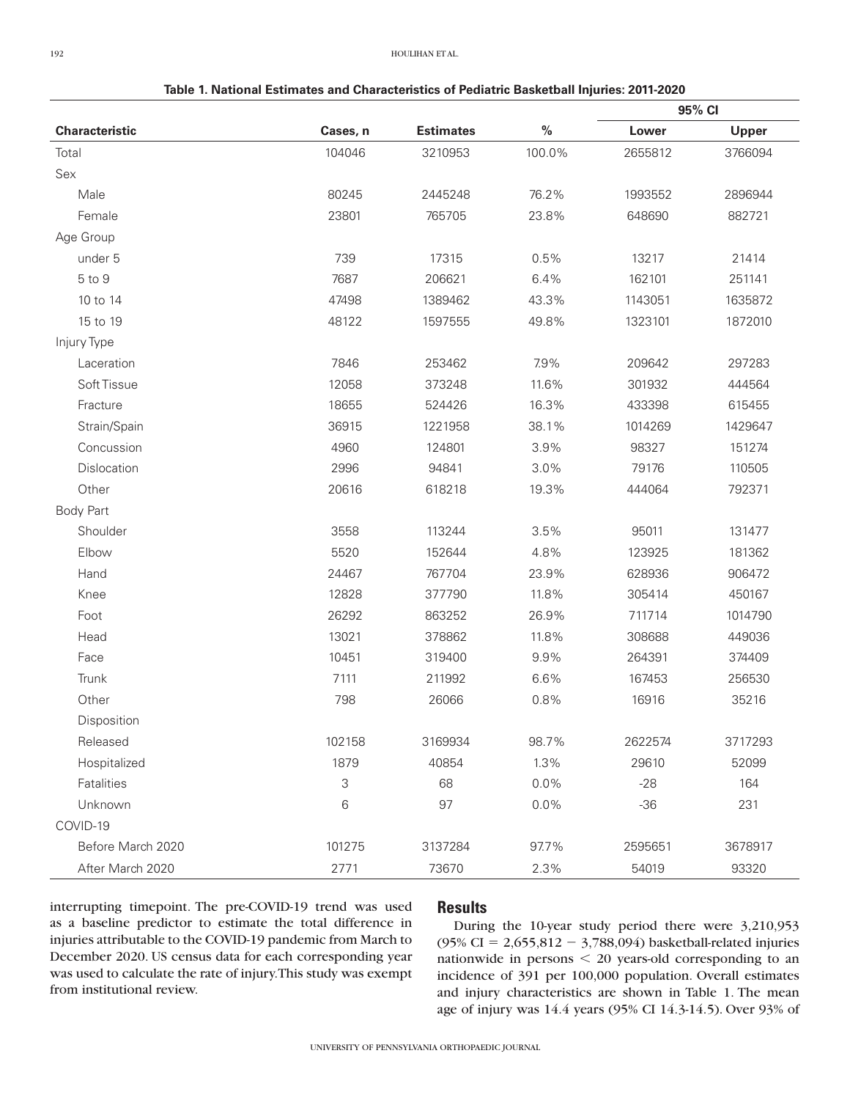**Table 1. National Estimates and Characteristics of Pediatric Basketball Injuries: 2011-2020**

|                       |          |                  |        | 95% CI  |         |
|-----------------------|----------|------------------|--------|---------|---------|
| <b>Characteristic</b> | Cases, n | <b>Estimates</b> | $\%$   | Lower   | Upper   |
| Total                 | 104046   | 3210953          | 100.0% | 2655812 | 3766094 |
| Sex                   |          |                  |        |         |         |
| Male                  | 80245    | 2445248          | 76.2%  | 1993552 | 2896944 |
| Female                | 23801    | 765705           | 23.8%  | 648690  | 882721  |
| Age Group             |          |                  |        |         |         |
| under 5               | 739      | 17315            | 0.5%   | 13217   | 21414   |
| 5 to 9                | 7687     | 206621           | 6.4%   | 162101  | 251141  |
| 10 to 14              | 47498    | 1389462          | 43.3%  | 1143051 | 1635872 |
| 15 to 19              | 48122    | 1597555          | 49.8%  | 1323101 | 1872010 |
| Injury Type           |          |                  |        |         |         |
| Laceration            | 7846     | 253462           | 7.9%   | 209642  | 297283  |
| Soft Tissue           | 12058    | 373248           | 11.6%  | 301932  | 444564  |
| Fracture              | 18655    | 524426           | 16.3%  | 433398  | 615455  |
| Strain/Spain          | 36915    | 1221958          | 38.1%  | 1014269 | 1429647 |
| Concussion            | 4960     | 124801           | 3.9%   | 98327   | 151274  |
| Dislocation           | 2996     | 94841            | 3.0%   | 79176   | 110505  |
| Other                 | 20616    | 618218           | 19.3%  | 444064  | 792371  |
| <b>Body Part</b>      |          |                  |        |         |         |
| Shoulder              | 3558     | 113244           | 3.5%   | 95011   | 131477  |
| Elbow                 | 5520     | 152644           | 4.8%   | 123925  | 181362  |
| Hand                  | 24467    | 767704           | 23.9%  | 628936  | 906472  |
| Knee                  | 12828    | 377790           | 11.8%  | 305414  | 450167  |
| Foot                  | 26292    | 863252           | 26.9%  | 711714  | 1014790 |
| Head                  | 13021    | 378862           | 11.8%  | 308688  | 449036  |
| Face                  | 10451    | 319400           | 9.9%   | 264391  | 374409  |
| Trunk                 | 7111     | 211992           | 6.6%   | 167453  | 256530  |
| Other                 | 798      | 26066            | 0.8%   | 16916   | 35216   |
| Disposition           |          |                  |        |         |         |
| Released              | 102158   | 3169934          | 98.7%  | 2622574 | 3717293 |
| Hospitalized          | 1879     | 40854            | 1.3%   | 29610   | 52099   |
| Fatalities            | 3        | 68               | 0.0%   | $-28$   | 164     |
| Unknown               | 6        | 97               | 0.0%   | $-36$   | 231     |
| COVID-19              |          |                  |        |         |         |
| Before March 2020     | 101275   | 3137284          | 97.7%  | 2595651 | 3678917 |
| After March 2020      | 2771     | 73670            | 2.3%   | 54019   | 93320   |

interrupting timepoint. The pre-COVID-19 trend was used as a baseline predictor to estimate the total difference in injuries attributable to the COVID-19 pandemic from March to December 2020. US census data for each corresponding year was used to calculate the rate of injury. This study was exempt from institutional review.

# **Results**

During the 10-year study period there were 3,210,953 (95% CI =  $2,655,812 - 3,788,094$ ) basketball-related injuries nationwide in persons  $\leq$  20 years-old corresponding to an incidence of 391 per 100,000 population. Overall estimates and injury characteristics are shown in Table 1. The mean age of injury was 14.4 years (95% CI 14.3-14.5). Over 93% of